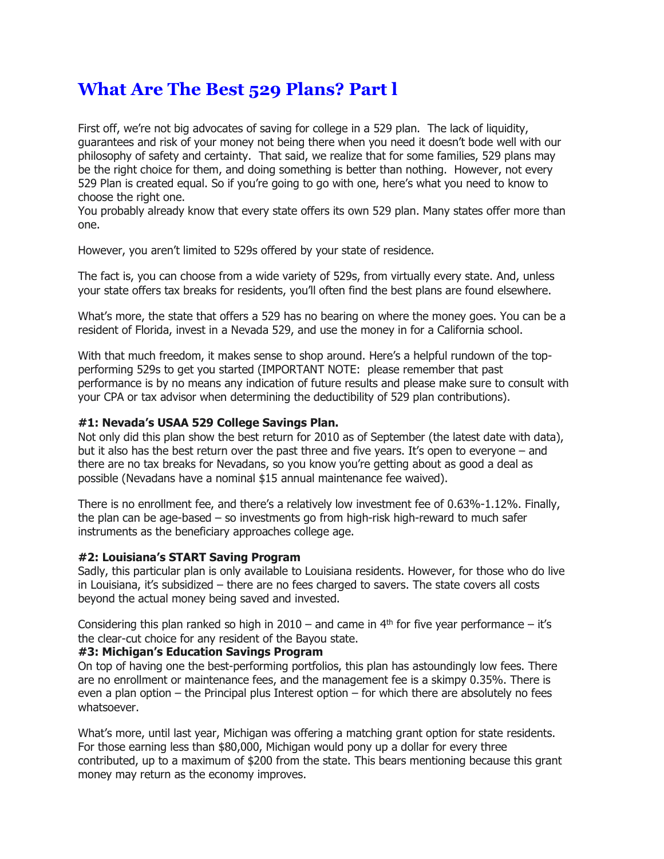# **What Are The Best 529 Plans? Part l**

First off, we're not big advocates of saving for college in a 529 plan. The lack of liquidity, guarantees and risk of your money not being there when you need it doesn't bode well with our philosophy of safety and certainty. That said, we realize that for some families, 529 plans may be the right choice for them, and doing something is better than nothing. However, not every 529 Plan is created equal. So if you're going to go with one, here's what you need to know to choose the right one.

You probably already know that every state offers its own 529 plan. Many states offer more than one.

However, you aren't limited to 529s offered by your state of residence.

The fact is, you can choose from a wide variety of 529s, from virtually every state. And, unless your state offers tax breaks for residents, you'll often find the best plans are found elsewhere.

What's more, the state that offers a 529 has no bearing on where the money goes. You can be a resident of Florida, invest in a Nevada 529, and use the money in for a California school.

With that much freedom, it makes sense to shop around. Here's a helpful rundown of the topperforming 529s to get you started (IMPORTANT NOTE: please remember that past performance is by no means any indication of future results and please make sure to consult with your CPA or tax advisor when determining the deductibility of 529 plan contributions).

## **#1: Nevada's USAA 529 College Savings Plan.**

Not only did this plan show the best return for 2010 as of September (the latest date with data), but it also has the best return over the past three and five years. It's open to everyone – and there are no tax breaks for Nevadans, so you know you're getting about as good a deal as possible (Nevadans have a nominal \$15 annual maintenance fee waived).

There is no enrollment fee, and there's a relatively low investment fee of 0.63%-1.12%. Finally, the plan can be age-based – so investments go from high-risk high-reward to much safer instruments as the beneficiary approaches college age.

## **#2: Louisiana's START Saving Program**

Sadly, this particular plan is only available to Louisiana residents. However, for those who do live in Louisiana, it's subsidized – there are no fees charged to savers. The state covers all costs beyond the actual money being saved and invested.

Considering this plan ranked so high in  $2010 -$  and came in  $4<sup>th</sup>$  for five year performance – it's the clear-cut choice for any resident of the Bayou state.

#### **#3: Michigan's Education Savings Program**

On top of having one the best-performing portfolios, this plan has astoundingly low fees. There are no enrollment or maintenance fees, and the management fee is a skimpy 0.35%. There is even a plan option – the Principal plus Interest option – for which there are absolutely no fees whatsoever.

What's more, until last year, Michigan was offering a matching grant option for state residents. For those earning less than \$80,000, Michigan would pony up a dollar for every three contributed, up to a maximum of \$200 from the state. This bears mentioning because this grant money may return as the economy improves.